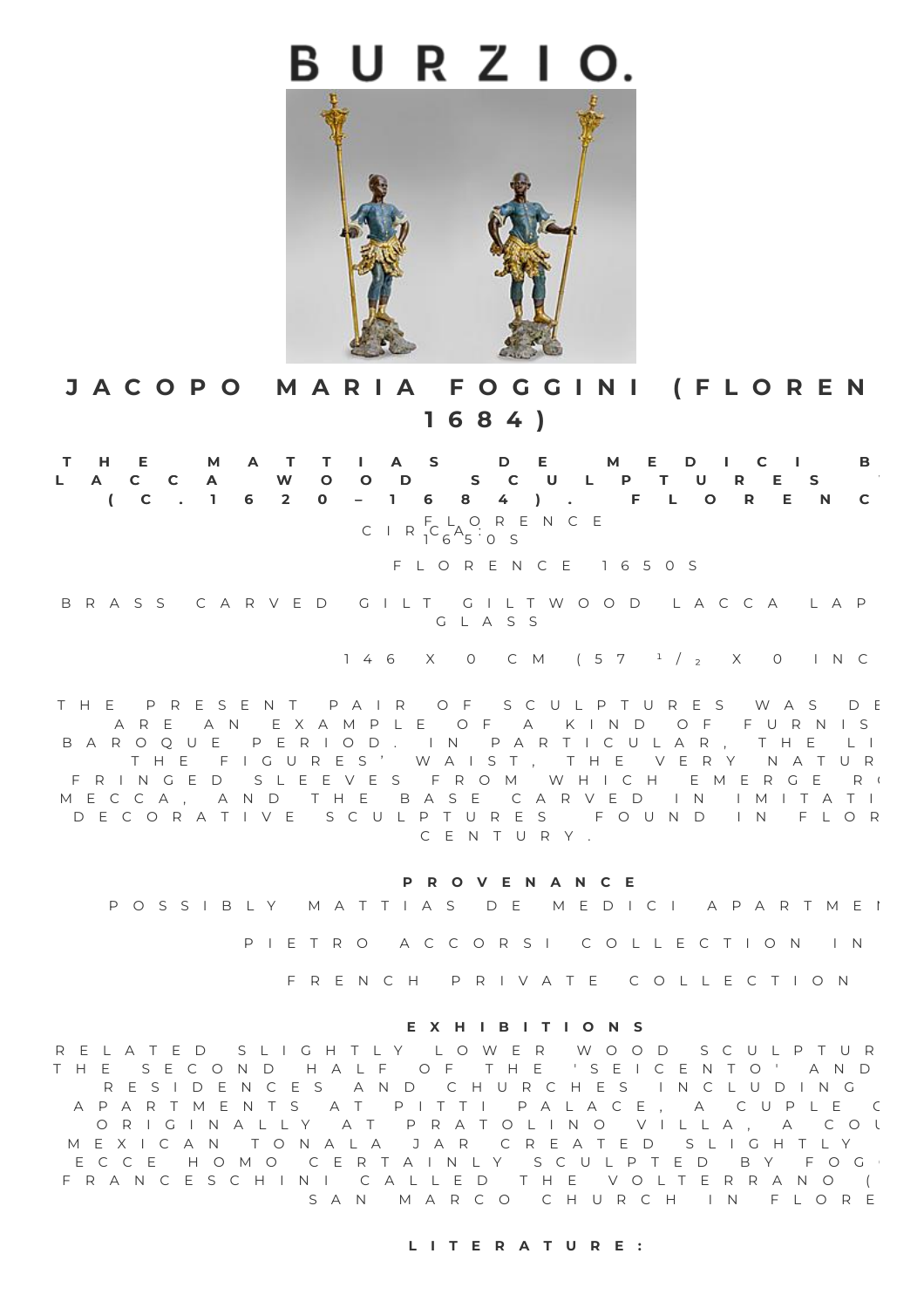# **BURZIO.**



# JACOPO MARIA FOGGINI (FLOREN **1 6 8 4 )**

THE MATTIAS DE MEDICI B LACCA WOOD SCULPTURES ( C . 1 6 2 0 - 1 6 8 4 ) . F L ORENC C I R C L O R E N C E  $1^6 6^4 5^6 0$  S

F L O R E N C E 1 6 5 0 S

B R A S S C A R V E D G I L T G I L T W O O D L A C C A L A P G L A S S

 $1 4 6 X 0 C M (5 7 <sup>1</sup> /<sub>2</sub> X 0 1 N C)$ 

T H E P R E S E N T P A I R O F S C U L P T U R E S W A S D E A R E A N E X A M P L E O F A K I N D O F F U R N I S B A R O Q U E P E R I O D . I N P A R T I C U L A R , T H E L I T H E F I G U R E S ' W A I S T , T H E V E R Y N A T U R F R I N G E D S L E E V E S F R O M W H I C H E M E R G E R O M E C C A , A N D T H E B A S E C A R V E D I N I M I T A T I D E C O R A T I V E S C U L P T U R E S G F O U N D I N G F L O R C E N T U R Y .

#### **P R O V E N A N C E**

P O S S I B L Y M A T T I A S D E M E D I C I A P A R T M E I

P I E T R O A C C O R S I C O L L E C T I O N I N

F R E N C H P R I V A T E C O L L E C T I O N

### **E X H I B I T I O N S**

R E L A T E D S L I G H T L Y L O W E R W O O D S C U L P T U R T H E S E C O N D H A L F O F T H E 'S E I C E N T O 'A N D R E S I D E N C E S A N D C H U R C H E S I N C L U D I N G A P A R T M E N T S A T P I T T I P A L A C E , A C U P L E C O R I G I N A L L Y A T P R A T O L I N O V I L L A , A C O U M E X I C A N T O N A L A J A R C R E A T E D S L I G H T L Y E C C E H O M O C E R T A I N L Y S C U L P T E D B Y F O G H F R A N C E S C H I N I C A L L E D T H E V O L T E R R A N O ( S A N M A R C O C H U R C H I N F L O R E

## **L I T E R A T U R E :**